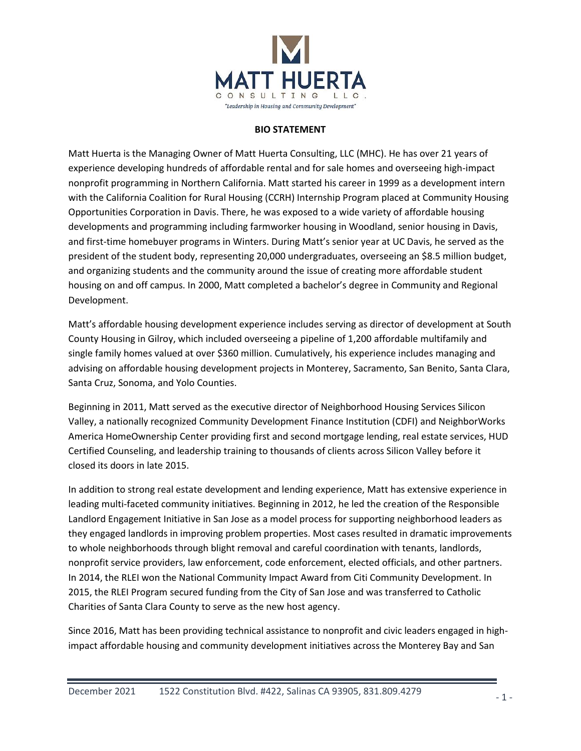

## **BIO STATEMENT**

Matt Huerta is the Managing Owner of Matt Huerta Consulting, LLC (MHC). He has over 21 years of experience developing hundreds of affordable rental and for sale homes and overseeing high-impact nonprofit programming in Northern California. Matt started his career in 1999 as a development intern with the California Coalition for Rural Housing (CCRH) Internship Program placed at Community Housing Opportunities Corporation in Davis. There, he was exposed to a wide variety of affordable housing developments and programming including farmworker housing in Woodland, senior housing in Davis, and first-time homebuyer programs in Winters. During Matt's senior year at UC Davis, he served as the president of the student body, representing 20,000 undergraduates, overseeing an \$8.5 million budget, and organizing students and the community around the issue of creating more affordable student housing on and off campus. In 2000, Matt completed a bachelor's degree in Community and Regional Development.

Matt's affordable housing development experience includes serving as director of development at South County Housing in Gilroy, which included overseeing a pipeline of 1,200 affordable multifamily and single family homes valued at over \$360 million. Cumulatively, his experience includes managing and advising on affordable housing development projects in Monterey, Sacramento, San Benito, Santa Clara, Santa Cruz, Sonoma, and Yolo Counties.

Beginning in 2011, Matt served as the executive director of Neighborhood Housing Services Silicon Valley, a nationally recognized Community Development Finance Institution (CDFI) and NeighborWorks America HomeOwnership Center providing first and second mortgage lending, real estate services, HUD Certified Counseling, and leadership training to thousands of clients across Silicon Valley before it closed its doors in late 2015.

In addition to strong real estate development and lending experience, Matt has extensive experience in leading multi-faceted community initiatives. Beginning in 2012, he led the creation of the Responsible Landlord Engagement Initiative in San Jose as a model process for supporting neighborhood leaders as they engaged landlords in improving problem properties. Most cases resulted in dramatic improvements to whole neighborhoods through blight removal and careful coordination with tenants, landlords, nonprofit service providers, law enforcement, code enforcement, elected officials, and other partners. In 2014, the RLEI won the National Community Impact Award from Citi Community Development. In 2015, the RLEI Program secured funding from the City of San Jose and was transferred to Catholic Charities of Santa Clara County to serve as the new host agency.

Since 2016, Matt has been providing technical assistance to nonprofit and civic leaders engaged in highimpact affordable housing and community development initiatives across the Monterey Bay and San